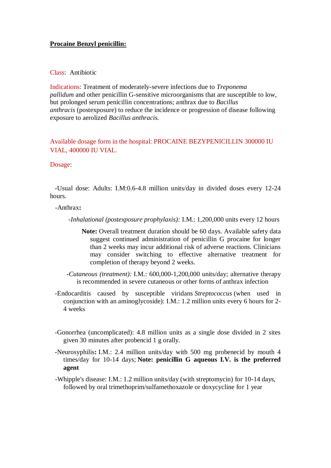## **Procaine Benzyl penicillin:**

### Class: Antibiotic

Indications: Treatment of moderately-severe infections due to *Treponema pallidum* and other penicillin G-sensitive microorganisms that are susceptible to low, but prolonged serum penicillin concentrations; anthrax due to *Bacillus anthracis* (postexposure) to reduce the incidence or progression of disease following exposure to aerolized *Bacillus anthracis.*

Available dosage form in the hospital: PROCAINE BEZYPENICILLIN 300000 IU VIAL, 400000 IU VIAL.

#### Dosage:

 -Usual dose: Adults: I.M:0.6-4.8 million units/day in divided doses every 12-24 hours.

#### -Anthrax**:**

 *-Inhalational (postexposure prophylaxis):* I.M.: 1,200,000 units every 12 hours

- **Note:** Overall treatment duration should be 60 days. Available safety data suggest continued administration of penicillin G procaine for longer than 2 weeks may incur additional risk of adverse reactions. Clinicians may consider switching to effective alternative treatment for completion of therapy beyond 2 weeks.
- *-Cutaneous (treatment):* I.M.: 600,000-1,200,000 units/day; alternative therapy is recommended in severe cutaneous or other forms of anthrax infection
- -Endocarditis caused by susceptible viridans *Streptococcus* (when used in conjunction with an aminoglycoside): I.M.: 1.2 million units every 6 hours for 2- 4 weeks
- -Gonorrhea (uncomplicated): 4.8 million units as a single dose divided in 2 sites given 30 minutes after probencid 1 g orally.
- -Neurosyphilis**:** I.M.: 2.4 million units/day with 500 mg probenecid by mouth 4 times/day for 10-14 days; **Note: penicillin G aqueous I.V. is the preferred agent**
- -Whipple's disease: I.M.: 1.2 million units/day (with streptomycin) for 10-14 days, followed by oral trimethoprim/sulfamethoxazole or doxycycline for 1 year